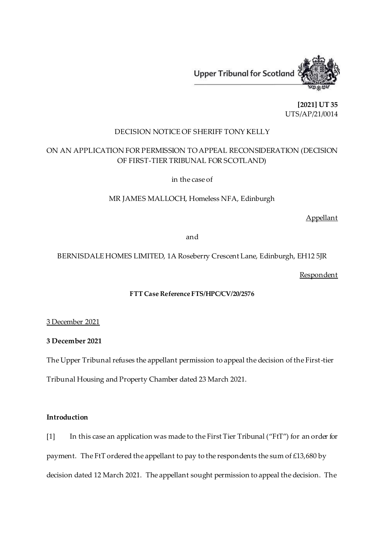

**[2021] UT 35** UTS/AP/21/0014

# DECISION NOTICE OF SHERIFF TONY KELLY

# ON AN APPLICATION FOR PERMISSION TO APPEAL RECONSIDERATION (DECISION OF FIRST-TIER TRIBUNAL FOR SCOTLAND)

in the case of

MR JAMES MALLOCH, Homeless NFA, Edinburgh

Appellant

and

BERNISDALE HOMES LIMITED, 1A Roseberry Crescent Lane, Edinburgh, EH12 5JR

Respondent

# **FTT Case Reference FTS/HPC/CV/20/2576**

3 December 2021

**3 December 2021**

The Upper Tribunal refuses the appellant permission to appeal the decision of the First-tier

Tribunal Housing and Property Chamber dated 23 March 2021.

### **Introduction**

[1] In this case an application was made to the First Tier Tribunal ("FtT") for an order for payment. The FtT ordered the appellant to pay to the respondents the sum of £13,680 by decision dated 12 March 2021. The appellant sought permission to appeal the decision. The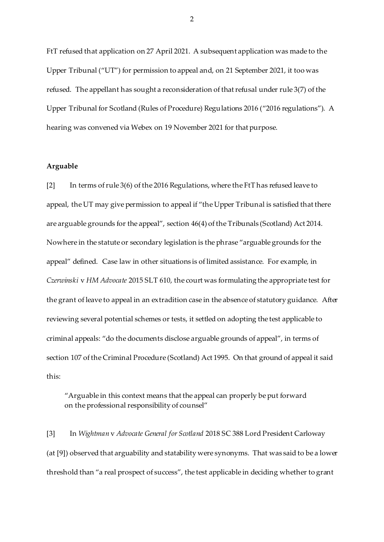FtT refused that application on 27 April 2021. A subsequent application was made to the Upper Tribunal ("UT") for permission to appeal and, on 21 September 2021, it too was refused. The appellant has sought a reconsideration of that refusal under rule 3(7) of the Upper Tribunal for Scotland (Rules of Procedure) Regulations 2016 ("2016 regulations"). A hearing was convened via Webex on 19 November 2021 for that purpose.

### **Arguable**

[2] In terms of rule 3(6) of the 2016 Regulations, where the FtT has refused leave to appeal, the UT may give permission to appeal if "the Upper Tribunal is satisfied that there are arguable grounds for the appeal", section 46(4) of the Tribunals (Scotland) Act 2014. Nowhere in the statute or secondary legislation is the phrase "arguable grounds for the appeal" defined. Case law in other situations is of limited assistance. For example, in *Czerwinski* v *HM Advocate* 2015 SLT 610, the court was formulating the appropriate test for the grant of leave to appeal in an extradition case in the absence of statutory guidance. After reviewing several potential schemes or tests, it settled on adopting the test applicable to criminal appeals: "do the documents disclose arguable grounds of appeal", in terms of section 107 of the Criminal Procedure (Scotland) Act 1995. On that ground of appeal it said this:

"Arguable in this context means that the appeal can properly be put forward on the professional responsibility of counsel"

[3] In *Wightman* v *Advocate General for Scotland* 2018 SC 388 Lord President Carloway (at [9]) observed that arguability and statability were synonyms. That was said to be a lower threshold than "a real prospect of success", the test applicable in deciding whether to grant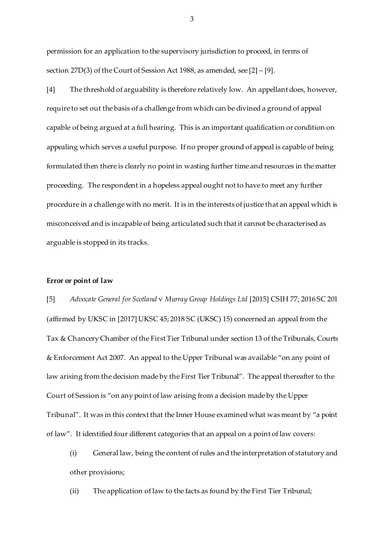permission for an application to the supervisory jurisdiction to proceed, in terms of section 27D(3) of the Court of Session Act 1988, as amended, see [2] – [9].

[4] The threshold of arguability is therefore relatively low. An appellant does, however, require to set out the basis of a challenge from which can be divined a ground of appeal capable of being argued at a full hearing. This is an important qualification or condition on appealing which serves a useful purpose. If no proper ground of appeal is capable of being formulated then there is clearly no point in wasting further time and resources in the matter proceeding. The respondent in a hopeless appeal ought not to have to meet any further procedure in a challenge with no merit. It is in the interests of justice that an appeal which is misconceived and is incapable of being articulated such that it cannot be characterised as arguable is stopped in its tracks.

### **Error or point of law**

[5] *Advocate General for Scotland* v *Murray Group Holdings Ltd* [2015] CSIH 77; 2016 SC 201 (affirmed by UKSC in [2017] UKSC 45; 2018 SC (UKSC) 15) concerned an appeal from the Tax & Chancery Chamber of the First Tier Tribunal under section 13 of the Tribunals, Courts & Enforcement Act 2007. An appeal to the Upper Tribunal was available "on any point of law arising from the decision made by the First Tier Tribunal". The appeal thereafter to the Court of Session is "on any point of law arising from a decision made by the Upper Tribunal". It was in this context that the Inner House examined what was meant by "a point of law". It identified four different categories that an appeal on a point of law covers:

(i) General law, being the content of rules and the interpretation of statutory and other provisions;

(ii) The application of law to the facts as found by the First Tier Tribunal;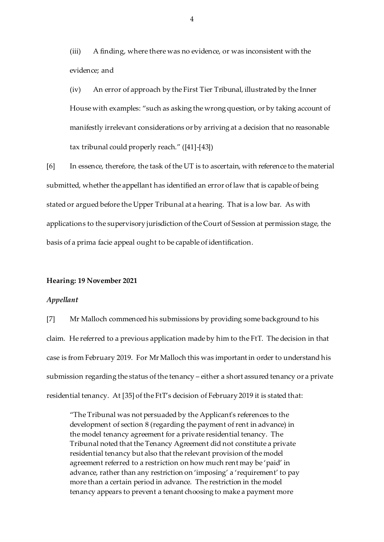(iii) A finding, where there was no evidence, or was inconsistent with the evidence; and

(iv) An error of approach by the First Tier Tribunal, illustrated by the Inner House with examples: "such as asking the wrong question, or by taking account of manifestly irrelevant considerations or by arriving at a decision that no reasonable tax tribunal could properly reach." ([41]-[43])

[6] In essence, therefore, the task of the UT is to ascertain, with reference to the material submitted, whether the appellant has identified an error of law that is capable of being stated or argued before the Upper Tribunal at a hearing. That is a low bar. As with applications to the supervisory jurisdiction of the Court of Session at permission stage, the basis of a prima facie appeal ought to be capable of identification.

#### **Hearing: 19 November 2021**

#### *Appellant*

[7] Mr Malloch commenced his submissions by providing some background to his claim. He referred to a previous application made by him to the FtT. The decision in that case is from February 2019. For Mr Malloch this was important in order to understand his submission regarding the status of the tenancy – either a short assured tenancy or a private residential tenancy. At [35] of the FtT's decision of February 2019 it is stated that:

"The Tribunal was not persuaded by the Applicant's references to the development of section 8 (regarding the payment of rent in advance) in the model tenancy agreement for a private residential tenancy. The Tribunal noted that the Tenancy Agreement did not constitute a private residential tenancy but also that the relevant provision of the model agreement referred to a restriction on how much rent may be 'paid' in advance, rather than any restriction on 'imposing' a 'requirement' to pay more than a certain period in advance. The restriction in the model tenancy appears to prevent a tenant choosing to make a payment more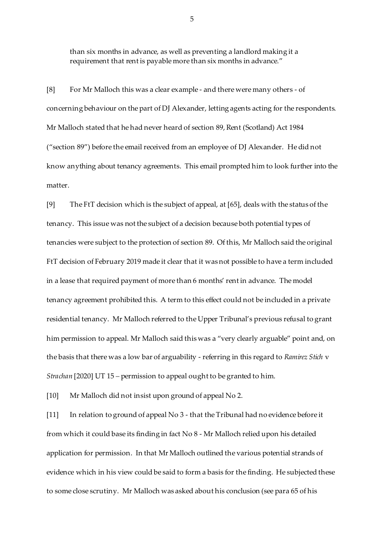than six months in advance, as well as preventing a landlord making it a requirement that rent is payable more than six months in advance."

[8] For Mr Malloch this was a clear example - and there were many others - of concerning behaviour on the part of DJ Alexander, letting agents acting for the respondents. Mr Malloch stated that he had never heard of section 89, Rent (Scotland) Act 1984 ("section 89") before the email received from an employee of DJ Alexander. He did not know anything about tenancy agreements. This email prompted him to look further into the matter.

[9] The FtT decision which is the subject of appeal, at [65], deals with the status of the tenancy. This issue was not the subject of a decision because both potential types of tenancies were subject to the protection of section 89. Of this, Mr Malloch said the original FtT decision of February 2019 made it clear that it was not possible to have a term included in a lease that required payment of more than 6 months' rent in advance. The model tenancy agreement prohibited this. A term to this effect could not be included in a private residential tenancy. Mr Malloch referred to the Upper Tribunal's previous refusal to grant him permission to appeal. Mr Malloch said this was a "very clearly arguable" point and, on the basis that there was a low bar of arguability - referring in this regard to *Ramirez Stich* v *Strachan* [2020] UT 15 *–* permission to appeal ought to be granted to him.

[10] Mr Malloch did not insist upon ground of appeal No 2.

[11] In relation to ground of appeal No 3 - that the Tribunal had no evidence before it from which it could base its finding in fact No 8 - Mr Malloch relied upon his detailed application for permission. In that Mr Malloch outlined the various potential strands of evidence which in his view could be said to form a basis for the finding. He subjected these to some close scrutiny. Mr Malloch was asked about his conclusion (see para 65 of his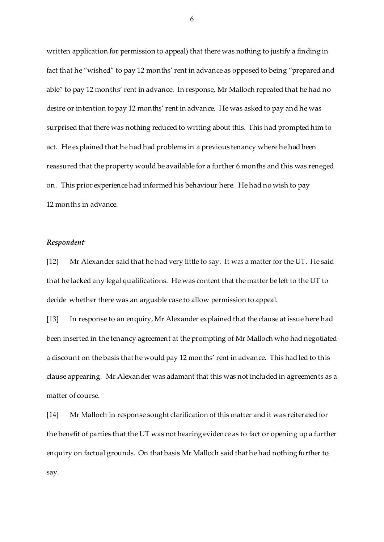written application for permission to appeal) that there was nothing to justify a finding in fact that he "wished" to pay 12 months' rent in advance as opposed to being "prepared and able" to pay 12 months' rent in advance. In response, Mr Malloch repeated that he had no desire or intention to pay 12 months' rent in advance. He was asked to pay and he was surprised that there was nothing reduced to writing about this. This had prompted him to act. He explained that he had had problems in a previous tenancy where he had been reassured that the property would be available for a further 6 months and this was reneged on. This prior experience had informed his behaviour here. He had no wish to pay 12 months in advance.

### *Respondent*

[12] Mr Alexander said that he had very little to say. It was a matter for the UT. He said that he lacked any legal qualifications. He was content that the matter be left to the UT to decide whether there was an arguable case to allow permission to appeal.

[13] In response to an enquiry, Mr Alexander explained that the clause at issue here had been inserted in the tenancy agreement at the prompting of Mr Malloch who had negotiated a discount on the basis that he would pay 12 months' rent in advance. This had led to this clause appearing. Mr Alexander was adamant that this was not included in agreements as a matter of course.

[14] Mr Malloch in response sought clarification of this matter and it was reiterated for the benefit of parties that the UT was not hearing evidence as to fact or opening up a further enquiry on factual grounds. On that basis Mr Malloch said that he had nothing further to say.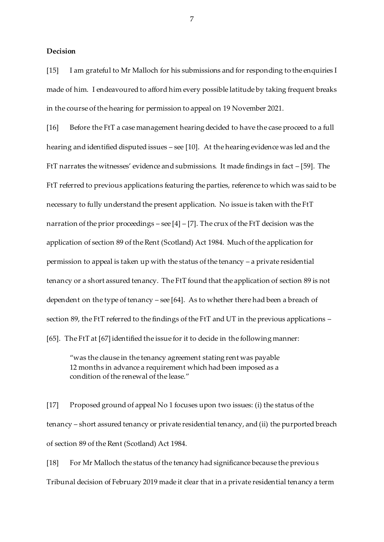#### **Decision**

[15] I am grateful to Mr Malloch for his submissions and for responding to the enquiries I made of him. I endeavoured to afford him every possible latitude by taking frequent breaks in the course of the hearing for permission to appeal on 19 November 2021.

[16] Before the FtT a case management hearing decided to have the case proceed to a full hearing and identified disputed issues – see [10]. At the hearing evidence was led and the FtT narrates the witnesses' evidence and submissions. It made findings in fact – [59]. The FtT referred to previous applications featuring the parties, reference to which was said to be necessary to fully understand the present application. No issue is taken with the FtT narration of the prior proceedings – see  $[4]$  –  $[7]$ . The crux of the FtT decision was the application of section 89 of the Rent (Scotland) Act 1984. Much of the application for permission to appeal is taken up with the status of the tenancy – a private residential tenancy or a short assured tenancy. The FtT found that the application of section 89 is not dependent on the type of tenancy – see [64]. As to whether there had been a breach of section 89, the FtT referred to the findings of the FtT and UT in the previous applications – [65]. The FtT at [67] identified the issue for it to decide in the following manner:

"was the clause in the tenancy agreement stating rent was payable 12 months in advance a requirement which had been imposed as a condition of the renewal of the lease."

[17] Proposed ground of appeal No 1 focuses upon two issues: (i) the status of the tenancy – short assured tenancy or private residential tenancy, and (ii) the purported breach of section 89 of the Rent (Scotland) Act 1984.

[18] For Mr Malloch the status of the tenancy had significance because the previous Tribunal decision of February 2019 made it clear that in a private residential tenancy a term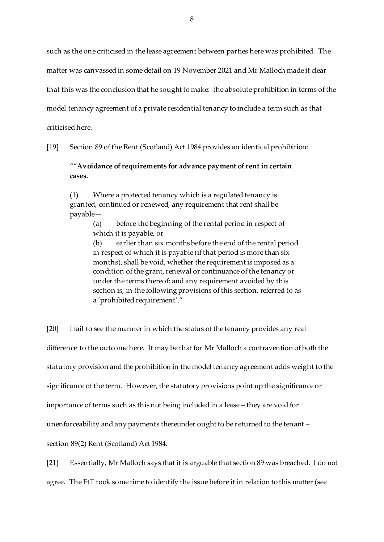such as the one criticised in the lease agreement between parties here was prohibited. The matter was canvassed in some detail on 19 November 2021 and Mr Malloch made it clear that this was the conclusion that he sought to make: the absolute prohibition in terms of the model tenancy agreement of a private residential tenancy to include a term such as that criticised here.

[19] Section 89 of the Rent (Scotland) Act 1984 provides an identical prohibition:

""**Avoidance of requirements for advance payment of rent in certain cases.**

(1) Where a protected tenancy which is a regulated tenancy is granted, continued or renewed, any requirement that rent shall be payable—

> (a) before the beginning of the rental period in respect of which it is payable, or

(b) earlier than six months before the end of the rental period in respect of which it is payable (if that period is more than six months), shall be void, whether the requirement is imposed as a condition of the grant, renewal or continuance of the tenancy or under the terms thereof; and any requirement avoided by this section is, in the following provisions of this section, referred to as a 'prohibited requirement'."

[20] I fail to see the manner in which the status of the tenancy provides any real difference to the outcome here. It may be that for Mr Malloch a contravention of both the statutory provision and the prohibition in the model tenancy agreement adds weight to the significance of the term. However, the statutory provisions point up the significance or importance of terms such as this not being included in a lease – they are void for unenforceability and any payments thereunder ought to be returned to the tenant – section 89(2) Rent (Scotland) Act 1984.

[21] Essentially, Mr Malloch says that it is arguable that section 89 was breached. I do not

agree. The FtT took some time to identify the issue before it in relation to this matter (see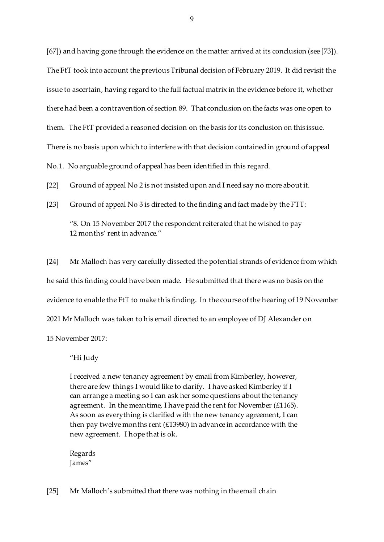[67]) and having gone through the evidence on the matter arrived at its conclusion (see [73]). The FtT took into account the previous Tribunal decision of February 2019. It did revisit the issue to ascertain, having regard to the full factual matrix in the evidence before it, whether there had been a contravention of section 89. That conclusion on the facts was one open to them. The FtT provided a reasoned decision on the basis for its conclusion on this issue. There is no basis upon which to interfere with that decision contained in ground of appeal

No.1. No arguable ground of appeal has been identified in this regard.

[22] Ground of appeal No 2 is not insisted upon and I need say no more about it.

[23] Ground of appeal No 3 is directed to the finding and fact made by the FTT: "8. On 15 November 2017 the respondent reiterated that he wished to pay 12 months' rent in advance."

[24] Mr Malloch has very carefully dissected the potential strands of evidence from which he said this finding could have been made. He submitted that there was no basis on the evidence to enable the FtT to make this finding. In the course of the hearing of 19 November 2021 Mr Malloch was taken to his email directed to an employee of DJ Alexander on 15 November 2017:

"Hi Judy

I received a new tenancy agreement by email from Kimberley, however, there are few things I would like to clarify. I have asked Kimberley if I can arrange a meeting so I can ask her some questions about the tenancy agreement. In the meantime, I have paid the rent for November (£1165). As soon as everything is clarified with the new tenancy agreement, I can then pay twelve months rent (£13980) in advance in accordance with the new agreement. I hope that is ok.

Regards James"

[25] Mr Malloch's submitted that there was nothing in the email chain